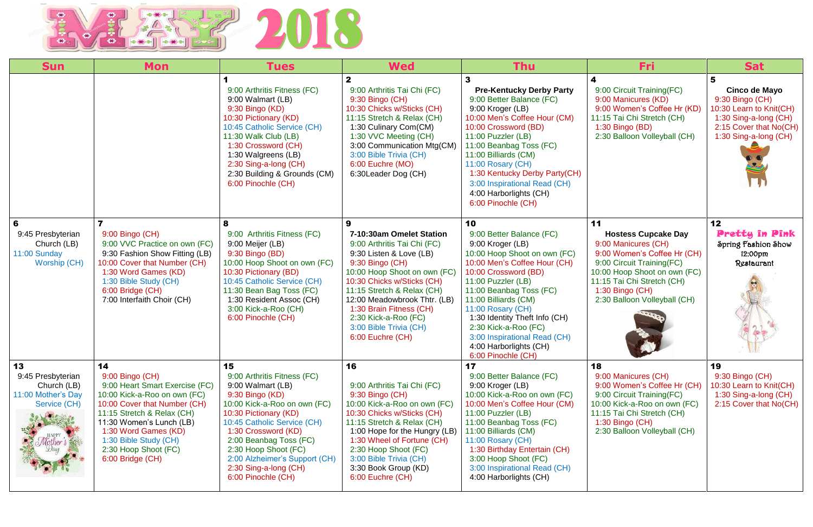

| <b>Sun</b>                                                                   | <b>Mon</b>                                                                                                                                                                                                                                                                     | <b>Tues</b>                                                                                                                                                                                                                                                                                                                | <b>Wed</b>                                                                                                                                                                                                                                                                                                                              | <b>Thu</b>                                                                                                                                                                                                                                                                                                                                                                        | Fri:                                                                                                                                                                                                                                    | <b>Sat</b>                                                                                                                              |
|------------------------------------------------------------------------------|--------------------------------------------------------------------------------------------------------------------------------------------------------------------------------------------------------------------------------------------------------------------------------|----------------------------------------------------------------------------------------------------------------------------------------------------------------------------------------------------------------------------------------------------------------------------------------------------------------------------|-----------------------------------------------------------------------------------------------------------------------------------------------------------------------------------------------------------------------------------------------------------------------------------------------------------------------------------------|-----------------------------------------------------------------------------------------------------------------------------------------------------------------------------------------------------------------------------------------------------------------------------------------------------------------------------------------------------------------------------------|-----------------------------------------------------------------------------------------------------------------------------------------------------------------------------------------------------------------------------------------|-----------------------------------------------------------------------------------------------------------------------------------------|
|                                                                              |                                                                                                                                                                                                                                                                                | 9:00 Arthritis Fitness (FC)<br>9:00 Walmart (LB)<br>9:30 Bingo (KD)<br>10:30 Pictionary (KD)<br>10:45 Catholic Service (CH)<br>11:30 Walk Club (LB)<br>1:30 Crossword (CH)<br>1:30 Walgreens (LB)<br>2:30 Sing-a-long (CH)<br>2:30 Building & Grounds (CM)<br>6:00 Pinochle (CH)                                           | 9:00 Arthritis Tai Chi (FC)<br>9:30 Bingo (CH)<br>10:30 Chicks w/Sticks (CH)<br>11:15 Stretch & Relax (CH)<br>1:30 Culinary Com(CM)<br>1:30 VVC Meeting (CH)<br>3:00 Communication Mtg(CM)<br>3:00 Bible Trivia (CH)<br>6:00 Euchre (MO)<br>6:30 Leader Dog (CH)                                                                        | <b>Pre-Kentucky Derby Party</b><br>9:00 Better Balance (FC)<br>9:00 Kroger (LB)<br>10:00 Men's Coffee Hour (CM)<br>10:00 Crossword (BD)<br>11:00 Puzzler (LB)<br>11:00 Beanbag Toss (FC)<br>11:00 Billiards (CM)<br>11:00 Rosary (CH)<br>1:30 Kentucky Derby Party(CH)<br>3:00 Inspirational Read (CH)<br>4:00 Harborlights (CH)<br>6:00 Pinochle (CH)                            | 9:00 Circuit Training (FC)<br>9:00 Manicures (KD)<br>9:00 Women's Coffee Hr (KD)<br>11:15 Tai Chi Stretch (CH)<br>$1:30$ Bingo (BD)<br>2:30 Balloon Volleyball (CH)                                                                     | Cinco de Mayo<br>9:30 Bingo (CH)<br>10:30 Learn to Knit(CH)<br>1:30 Sing-a-long (CH)<br>2:15 Cover that No(CH)<br>1:30 Sing-a-long (CH) |
| 6<br>9:45 Presbyterian<br>Church (LB)<br>11:00 Sunday<br>Worship (CH)        | 9:00 Bingo (CH)<br>9:00 VVC Practice on own (FC)<br>9:30 Fashion Show Fitting (LB)<br>10:00 Cover that Number (CH)<br>1:30 Word Games (KD)<br>1:30 Bible Study (CH)<br>6:00 Bridge (CH)<br>7:00 Interfaith Choir (CH)                                                          | 8<br>9:00 Arthritis Fitness (FC)<br>9:00 Meijer (LB)<br>9:30 Bingo (BD)<br>10:00 Hoop Shoot on own (FC)<br>10:30 Pictionary (BD)<br>10:45 Catholic Service (CH)<br>11:30 Bean Bag Toss (FC)<br>1:30 Resident Assoc (CH)<br>3:00 Kick-a-Roo (CH)<br>6:00 Pinochle (CH)                                                      | 9<br>7-10:30am Omelet Station<br>9:00 Arthritis Tai Chi (FC)<br>9:30 Listen & Love (LB)<br>9:30 Bingo (CH)<br>10:00 Hoop Shoot on own (FC)<br>10:30 Chicks w/Sticks (CH)<br>11:15 Stretch & Relax (CH)<br>12:00 Meadowbrook Thtr. (LB)<br>1:30 Brain Fitness (CH)<br>2:30 Kick-a-Roo (FC)<br>3:00 Bible Trivia (CH)<br>6:00 Euchre (CH) | 10<br>9:00 Better Balance (FC)<br>9:00 Kroger (LB)<br>10:00 Hoop Shoot on own (FC)<br>10:00 Men's Coffee Hour (CH)<br>10:00 Crossword (BD)<br>11:00 Puzzler (LB)<br>11:00 Beanbag Toss (FC)<br>11:00 Billiards (CM)<br>11:00 Rosary (CH)<br>1:30 Identity Theft Info (CH)<br>2:30 Kick-a-Roo (FC)<br>3:00 Inspirational Read (CH)<br>4:00 Harborlights (CH)<br>6:00 Pinochle (CH) | 11<br><b>Hostess Cupcake Day</b><br>9:00 Manicures (CH)<br>9:00 Women's Coffee Hr (CH)<br>9:00 Circuit Training (FC)<br>10:00 Hoop Shoot on own (FC)<br>11:15 Tai Chi Stretch (CH)<br>$1:30$ Bingo (CH)<br>2:30 Balloon Volleyball (CH) | 12 <sub>2</sub><br><b>Pretty in Pink</b><br>Spring Fashion Show<br>12:00pm<br>Restaurant                                                |
| 13<br>9:45 Presbyterian<br>Church (LB)<br>11:00 Mother's Day<br>Service (CH) | 14<br>9:00 Bingo (CH)<br>9:00 Heart Smart Exercise (FC)<br>10:00 Kick-a-Roo on own (FC)<br>10:00 Cover that Number (CH)<br>11:15 Stretch & Relax (CH)<br>11:30 Women's Lunch (LB)<br>1:30 Word Games (KD)<br>1:30 Bible Study (CH)<br>2:30 Hoop Shoot (FC)<br>6:00 Bridge (CH) | 15<br>9:00 Arthritis Fitness (FC)<br>9:00 Walmart (LB)<br>9:30 Bingo (KD)<br>10:00 Kick-a-Roo on own (FC)<br>10:30 Pictionary (KD)<br>10:45 Catholic Service (CH)<br>1:30 Crossword (KD)<br>2:00 Beanbag Toss (FC)<br>2:30 Hoop Shoot (FC)<br>2:00 Alzheimer's Support (CH)<br>2:30 Sing-a-long (CH)<br>6:00 Pinochle (CH) | 16<br>9:00 Arthritis Tai Chi (FC)<br>9:30 Bingo (CH)<br>10:00 Kick-a-Roo on own (FC)<br>10:30 Chicks w/Sticks (CH)<br>11:15 Stretch & Relax (CH)<br>1:00 Hope for the Hungry (LB)<br>1:30 Wheel of Fortune (CH)<br>2:30 Hoop Shoot (FC)<br>3:00 Bible Trivia (CH)<br>3:30 Book Group (KD)<br>6:00 Euchre (CH)                           | 17<br>9:00 Better Balance (FC)<br>9:00 Kroger (LB)<br>10:00 Kick-a-Roo on own (FC)<br>10:00 Men's Coffee Hour (CM)<br>11:00 Puzzler (LB)<br>11:00 Beanbag Toss (FC)<br>11:00 Billiards (CM)<br>11:00 Rosary (CH)<br>1:30 Birthday Entertain (CH)<br>3:00 Hoop Shoot (FC)<br>3:00 Inspirational Read (CH)<br>4:00 Harborlights (CH)                                                | 18<br>9:00 Manicures (CH)<br>9:00 Women's Coffee Hr (CH)<br>9:00 Circuit Training (FC)<br>10:00 Kick-a-Roo on own (FC)<br>11:15 Tai Chi Stretch (CH)<br>$1:30$ Bingo (CH)<br>2:30 Balloon Volleyball (CH)                               | 19<br>9:30 Bingo (CH)<br>10:30 Learn to Knit(CH)<br>1:30 Sing-a-long (CH)<br>2:15 Cover that No(CH)                                     |

| Fri                                                                                                                                                                                                                               | <b>Sat</b>                                                                                                                                   |
|-----------------------------------------------------------------------------------------------------------------------------------------------------------------------------------------------------------------------------------|----------------------------------------------------------------------------------------------------------------------------------------------|
| 9:00 Circuit Training(FC)<br>9:00 Manicures (KD)<br>9:00 Women's Coffee Hr (KD)<br>1:15 Tai Chi Stretch (CH)<br>1:30 Bingo (BD)<br>2:30 Balloon Volleyball (CH)                                                                   | 5<br>Cinco de Mayo<br>9:30 Bingo (CH)<br>10:30 Learn to Knit(CH)<br>1:30 Sing-a-long (CH)<br>2:15 Cover that No(CH)<br>1:30 Sing-a-long (CH) |
| 1<br><b>Hostess Cupcake Day</b><br>9:00 Manicures (CH)<br>9:00 Women's Coffee Hr (CH)<br>9:00 Circuit Training(FC)<br>0:00 Hoop Shoot on own (FC)<br>1:15 Tai Chi Stretch (CH)<br>1:30 Bingo (CH)<br>2:30 Balloon Volleyball (CH) | 12<br><b>Pretty in Pink</b><br>Spring Fashion Show<br>12:00pm<br>Restaurant                                                                  |
| 8<br>9:00 Manicures (CH)<br>9:00 Women's Coffee Hr (CH)<br>9:00 Circuit Training(FC)<br>0:00 Kick-a-Roo on own (FC)<br>1:15 Tai Chi Stretch (CH)<br>1:30 Bingo (CH)<br>2:30 Balloon Volleyball (CH)                               | 19<br>9:30 Bingo (CH)<br>10:30 Learn to Knit(CH)<br>1:30 Sing-a-long (CH)<br>2:15 Cover that No(CH)                                          |